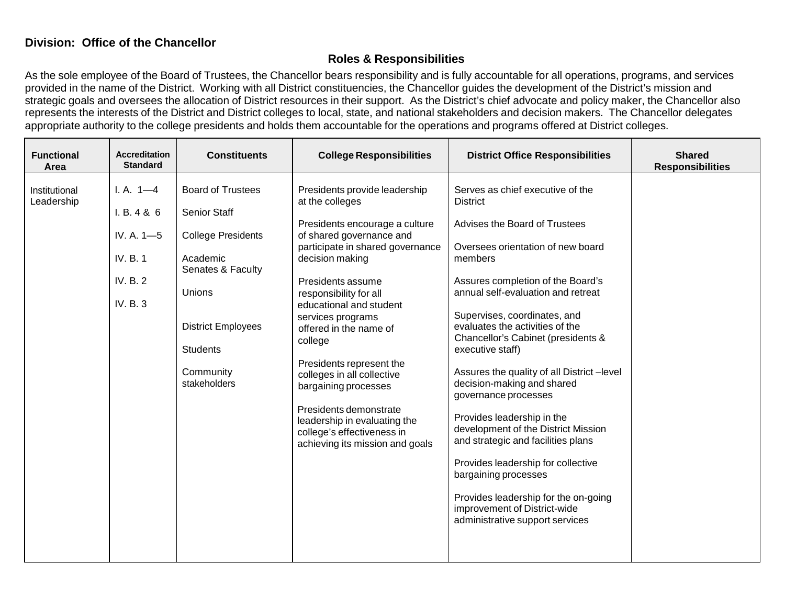## **Division: Office of the Chancellor**

## **Roles & Responsibilities**

As the sole employee of the Board of Trustees, the Chancellor bears responsibility and is fully accountable for all operations, programs, and services provided in the name of the District. Working with all District constituencies, the Chancellor guides the development of the District's mission and strategic goals and oversees the allocation of District resources in their support. As the District's chief advocate and policy maker, the Chancellor also represents the interests of the District and District colleges to local, state, and national stakeholders and decision makers. The Chancellor delegates appropriate authority to the college presidents and holds them accountable for the operations and programs offered at District colleges.

| <b>Functional</b><br>Area   | <b>Accreditation</b><br><b>Standard</b>                                      | <b>Constituents</b>                                                                                                                                                                                  | <b>College Responsibilities</b>                                                                                                                                                                                                                                                                                                                                                                                                                                                                                        | <b>District Office Responsibilities</b>                                                                                                                                                                                                                                                                                                                                                                                                                                                                                                                                                                                                                                                                                             | <b>Shared</b><br><b>Responsibilities</b> |
|-----------------------------|------------------------------------------------------------------------------|------------------------------------------------------------------------------------------------------------------------------------------------------------------------------------------------------|------------------------------------------------------------------------------------------------------------------------------------------------------------------------------------------------------------------------------------------------------------------------------------------------------------------------------------------------------------------------------------------------------------------------------------------------------------------------------------------------------------------------|-------------------------------------------------------------------------------------------------------------------------------------------------------------------------------------------------------------------------------------------------------------------------------------------------------------------------------------------------------------------------------------------------------------------------------------------------------------------------------------------------------------------------------------------------------------------------------------------------------------------------------------------------------------------------------------------------------------------------------------|------------------------------------------|
| Institutional<br>Leadership | $I. A. 1-4$<br>I. B. 4 & 6<br>IV. A. 1-5<br>IV. B. 1<br>IV. B. 2<br>IV. B. 3 | <b>Board of Trustees</b><br><b>Senior Staff</b><br><b>College Presidents</b><br>Academic<br>Senates & Faculty<br>Unions<br><b>District Employees</b><br><b>Students</b><br>Community<br>stakeholders | Presidents provide leadership<br>at the colleges<br>Presidents encourage a culture<br>of shared governance and<br>participate in shared governance<br>decision making<br>Presidents assume<br>responsibility for all<br>educational and student<br>services programs<br>offered in the name of<br>college<br>Presidents represent the<br>colleges in all collective<br>bargaining processes<br>Presidents demonstrate<br>leadership in evaluating the<br>college's effectiveness in<br>achieving its mission and goals | Serves as chief executive of the<br><b>District</b><br>Advises the Board of Trustees<br>Oversees orientation of new board<br>members<br>Assures completion of the Board's<br>annual self-evaluation and retreat<br>Supervises, coordinates, and<br>evaluates the activities of the<br>Chancellor's Cabinet (presidents &<br>executive staff)<br>Assures the quality of all District-level<br>decision-making and shared<br>governance processes<br>Provides leadership in the<br>development of the District Mission<br>and strategic and facilities plans<br>Provides leadership for collective<br>bargaining processes<br>Provides leadership for the on-going<br>improvement of District-wide<br>administrative support services |                                          |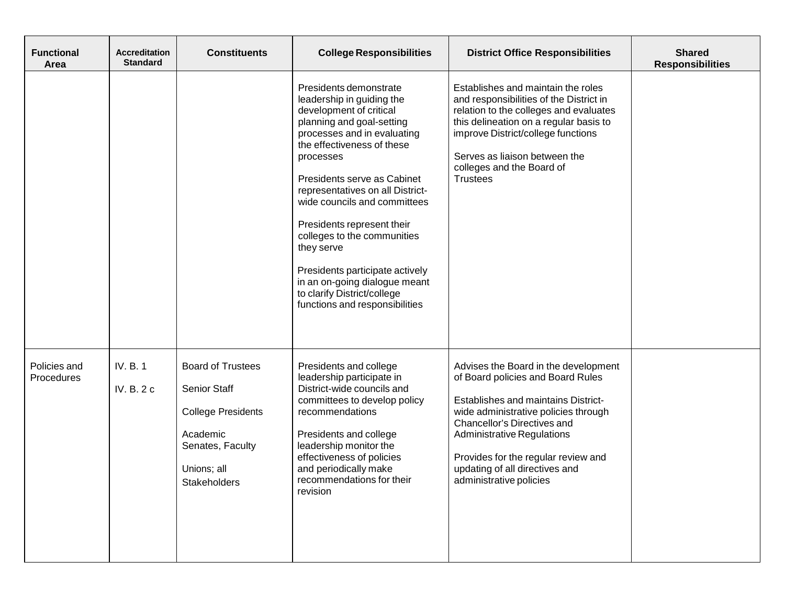| <b>Functional</b><br>Area  | <b>Accreditation</b><br><b>Standard</b> | <b>Constituents</b>                                                                                                                         | <b>College Responsibilities</b>                                                                                                                                                                                                                                                                                                                                                                                                                                                                          | <b>District Office Responsibilities</b>                                                                                                                                                                                                                                                                                                 | <b>Shared</b><br><b>Responsibilities</b> |
|----------------------------|-----------------------------------------|---------------------------------------------------------------------------------------------------------------------------------------------|----------------------------------------------------------------------------------------------------------------------------------------------------------------------------------------------------------------------------------------------------------------------------------------------------------------------------------------------------------------------------------------------------------------------------------------------------------------------------------------------------------|-----------------------------------------------------------------------------------------------------------------------------------------------------------------------------------------------------------------------------------------------------------------------------------------------------------------------------------------|------------------------------------------|
|                            |                                         |                                                                                                                                             | Presidents demonstrate<br>leadership in guiding the<br>development of critical<br>planning and goal-setting<br>processes and in evaluating<br>the effectiveness of these<br>processes<br>Presidents serve as Cabinet<br>representatives on all District-<br>wide councils and committees<br>Presidents represent their<br>colleges to the communities<br>they serve<br>Presidents participate actively<br>in an on-going dialogue meant<br>to clarify District/college<br>functions and responsibilities | Establishes and maintain the roles<br>and responsibilities of the District in<br>relation to the colleges and evaluates<br>this delineation on a regular basis to<br>improve District/college functions<br>Serves as liaison between the<br>colleges and the Board of<br><b>Trustees</b>                                                |                                          |
| Policies and<br>Procedures | IV. B. 1<br>IV. B. 2 c                  | <b>Board of Trustees</b><br><b>Senior Staff</b><br><b>College Presidents</b><br>Academic<br>Senates, Faculty<br>Unions; all<br>Stakeholders | Presidents and college<br>leadership participate in<br>District-wide councils and<br>committees to develop policy<br>recommendations<br>Presidents and college<br>leadership monitor the<br>effectiveness of policies<br>and periodically make<br>recommendations for their<br>revision                                                                                                                                                                                                                  | Advises the Board in the development<br>of Board policies and Board Rules<br><b>Establishes and maintains District-</b><br>wide administrative policies through<br>Chancellor's Directives and<br><b>Administrative Regulations</b><br>Provides for the regular review and<br>updating of all directives and<br>administrative policies |                                          |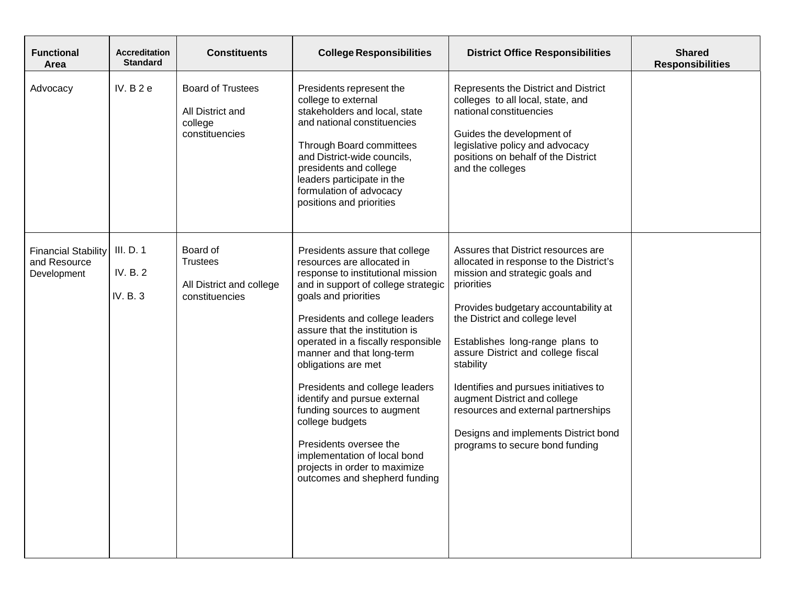| <b>Functional</b><br>Area                                 | <b>Accreditation</b><br><b>Standard</b> | <b>Constituents</b>                                                       | <b>College Responsibilities</b>                                                                                                                                                                                                                                                                                                                                                                                                                                                                                                                                               | <b>District Office Responsibilities</b>                                                                                                                                                                                                                                                                                                                                                                                                                                                    | <b>Shared</b><br><b>Responsibilities</b> |
|-----------------------------------------------------------|-----------------------------------------|---------------------------------------------------------------------------|-------------------------------------------------------------------------------------------------------------------------------------------------------------------------------------------------------------------------------------------------------------------------------------------------------------------------------------------------------------------------------------------------------------------------------------------------------------------------------------------------------------------------------------------------------------------------------|--------------------------------------------------------------------------------------------------------------------------------------------------------------------------------------------------------------------------------------------------------------------------------------------------------------------------------------------------------------------------------------------------------------------------------------------------------------------------------------------|------------------------------------------|
| Advocacy                                                  | IV. $B2e$                               | <b>Board of Trustees</b><br>All District and<br>college<br>constituencies | Presidents represent the<br>college to external<br>stakeholders and local, state<br>and national constituencies<br>Through Board committees<br>and District-wide councils,<br>presidents and college<br>leaders participate in the<br>formulation of advocacy<br>positions and priorities                                                                                                                                                                                                                                                                                     | Represents the District and District<br>colleges to all local, state, and<br>national constituencies<br>Guides the development of<br>legislative policy and advocacy<br>positions on behalf of the District<br>and the colleges                                                                                                                                                                                                                                                            |                                          |
| <b>Financial Stability</b><br>and Resource<br>Development | III. D. 1<br>IV. B. 2<br>IV. B. 3       | Board of<br><b>Trustees</b><br>All District and college<br>constituencies | Presidents assure that college<br>resources are allocated in<br>response to institutional mission<br>and in support of college strategic<br>goals and priorities<br>Presidents and college leaders<br>assure that the institution is<br>operated in a fiscally responsible<br>manner and that long-term<br>obligations are met<br>Presidents and college leaders<br>identify and pursue external<br>funding sources to augment<br>college budgets<br>Presidents oversee the<br>implementation of local bond<br>projects in order to maximize<br>outcomes and shepherd funding | Assures that District resources are<br>allocated in response to the District's<br>mission and strategic goals and<br>priorities<br>Provides budgetary accountability at<br>the District and college level<br>Establishes long-range plans to<br>assure District and college fiscal<br>stability<br>Identifies and pursues initiatives to<br>augment District and college<br>resources and external partnerships<br>Designs and implements District bond<br>programs to secure bond funding |                                          |